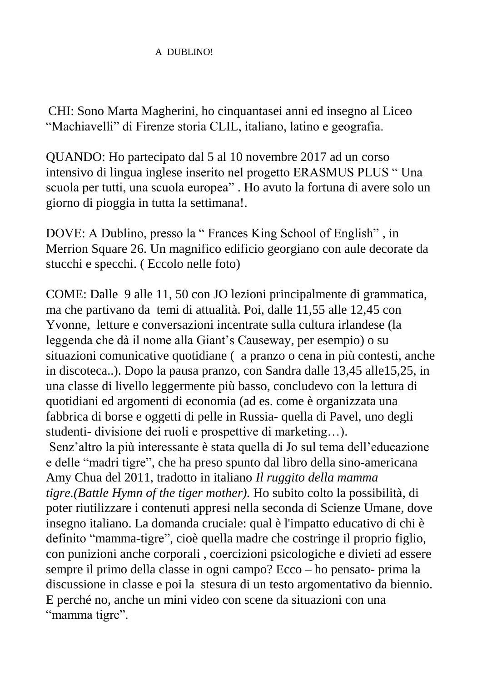## A DUBLINO!

CHI: Sono Marta Magherini, ho cinquantasei anni ed insegno al Liceo "Machiavelli" di Firenze storia CLIL, italiano, latino e geografia.

QUANDO: Ho partecipato dal 5 al 10 novembre 2017 ad un corso intensivo di lingua inglese inserito nel progetto ERASMUS PLUS " Una scuola per tutti, una scuola europea" . Ho avuto la fortuna di avere solo un giorno di pioggia in tutta la settimana!.

DOVE: A Dublino, presso la " Frances King School of English" , in Merrion Square 26. Un magnifico edificio georgiano con aule decorate da stucchi e specchi. ( Eccolo nelle foto)

COME: Dalle 9 alle 11, 50 con JO lezioni principalmente di grammatica, ma che partivano da temi di attualità. Poi, dalle 11,55 alle 12,45 con Yvonne, letture e conversazioni incentrate sulla cultura irlandese (la leggenda che dà il nome alla Giant's Causeway, per esempio) o su situazioni comunicative quotidiane ( a pranzo o cena in più contesti, anche in discoteca..). Dopo la pausa pranzo, con Sandra dalle 13,45 alle15,25, in una classe di livello leggermente più basso, concludevo con la lettura di quotidiani ed argomenti di economia (ad es. come è organizzata una fabbrica di borse e oggetti di pelle in Russia- quella di Pavel, uno degli studenti- divisione dei ruoli e prospettive di marketing…).

Senz'altro la più interessante è stata quella di Jo sul tema dell'educazione e delle "madri tigre", che ha preso spunto dal libro della sino-americana Amy Chua del 2011, tradotto in italiano *Il ruggito della mamma tigre.(Battle Hymn of the tiger mother).* Ho subito colto la possibilità, di poter riutilizzare i contenuti appresi nella seconda di Scienze Umane, dove insegno italiano. La domanda cruciale: qual è l'impatto educativo di chi è definito "mamma-tigre", cioè quella madre che costringe il proprio figlio, con punizioni anche corporali , coercizioni psicologiche e divieti ad essere sempre il primo della classe in ogni campo? Ecco – ho pensato- prima la discussione in classe e poi la stesura di un testo argomentativo da biennio. E perché no, anche un mini video con scene da situazioni con una "mamma tigre".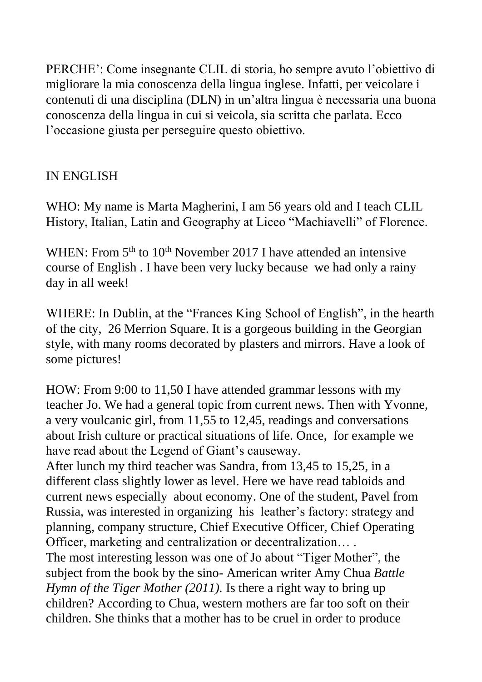PERCHE': Come insegnante CLIL di storia, ho sempre avuto l'obiettivo di migliorare la mia conoscenza della lingua inglese. Infatti, per veicolare i contenuti di una disciplina (DLN) in un'altra lingua è necessaria una buona conoscenza della lingua in cui si veicola, sia scritta che parlata. Ecco l'occasione giusta per perseguire questo obiettivo.

## IN ENGLISH

WHO: My name is Marta Magherini, I am 56 years old and I teach CLIL History, Italian, Latin and Geography at Liceo "Machiavelli" of Florence.

WHEN: From  $5<sup>th</sup>$  to  $10<sup>th</sup>$  November 2017 I have attended an intensive course of English . I have been very lucky because we had only a rainy day in all week!

WHERE: In Dublin, at the "Frances King School of English", in the hearth of the city, 26 Merrion Square. It is a gorgeous building in the Georgian style, with many rooms decorated by plasters and mirrors. Have a look of some pictures!

HOW: From 9:00 to 11,50 I have attended grammar lessons with my teacher Jo. We had a general topic from current news. Then with Yvonne, a very voulcanic girl, from 11,55 to 12,45, readings and conversations about Irish culture or practical situations of life. Once, for example we have read about the Legend of Giant's causeway.

After lunch my third teacher was Sandra, from 13,45 to 15,25, in a different class slightly lower as level. Here we have read tabloids and current news especially about economy. One of the student, Pavel from Russia, was interested in organizing his leather's factory: strategy and planning, company structure, Chief Executive Officer, Chief Operating Officer, marketing and centralization or decentralization… .

The most interesting lesson was one of Jo about "Tiger Mother", the subject from the book by the sino- American writer Amy Chua *Battle Hymn of the Tiger Mother* (2011). Is there a right way to bring up children? According to Chua, western mothers are far too soft on their children. She thinks that a mother has to be cruel in order to produce